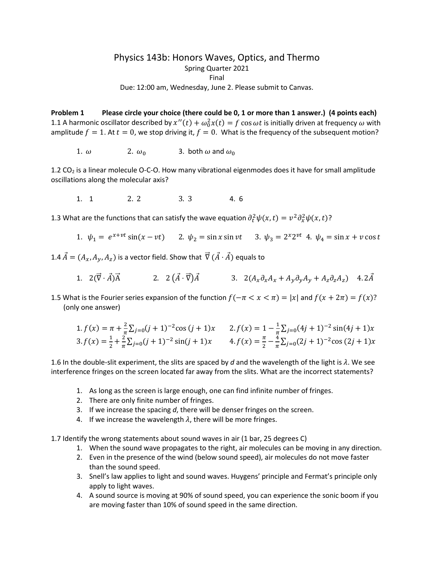## Physics 143b: Honors Waves, Optics, and Thermo Spring Quarter 2021 Final

Due: 12:00 am, Wednesday, June 2. Please submit to Canvas.

**Problem 1 Please circle your choice (there could be 0, 1 or more than 1 answer.) (4 points each)** 1.1 A harmonic oscillator described by  $x''(t) + \omega_0^2 x(t) = f \cos \omega t$  is initially driven at frequency  $\omega$  with amplitude  $f = 1$ . At  $t = 0$ , we stop driving it,  $f = 0$ . What is the frequency of the subsequent motion?

1.  $\omega$  2.  $\omega_0$  3. both  $\omega$  and  $\omega_0$ 

1.2 CO2 is a linear molecule O-C-O. How many vibrational eigenmodes does it have for small amplitude oscillations along the molecular axis?

1. 1 2. 2 3. 3 4. 6

1.3 What are the functions that can satisfy the wave equation  $\partial_t^2 \psi(x,t) = v^2 \partial_x^2 \psi(x,t)$ ?

1.  $\psi_1 = e^{x+vt} \sin(x-vt)$  2.  $\psi_2 = \sin x \sin vt$  3.  $\psi_3 = 2^x 2^{vt}$  4.  $\psi_4 = \sin x + v \cos t$ 

1.4  $\vec{A} = (A_x, A_y, A_z)$  is a vector field. Show that  $\vec{\nabla} (\vec{A} \cdot \vec{A})$  equals to

- 1. 2( $\vec{V} \cdot \vec{A}$ ) $\vec{A}$  2. 2  $(\vec{A} \cdot \vec{V})\vec{A}$  3. 2( $A_x \partial_x A_x + A_y \partial_y A_y + A_z \partial_z A_z$ ) 4.2 $\vec{A}$
- 1.5 What is the Fourier series expansion of the function  $f(-\pi < x < \pi) = |x|$  and  $f(x + 2\pi) = f(x)$ ? (only one answer)

1. 
$$
f(x) = \pi + \frac{2}{\pi} \sum_{j=0}^{n} (j+1)^{-2} \cos (j+1)x
$$
  
\n2.  $f(x) = 1 - \frac{1}{\pi} \sum_{j=0}^{n} (4j+1)^{-2} \sin(4j+1)x$   
\n3.  $f(x) = \frac{1}{2} + \frac{2}{\pi} \sum_{j=0}^{n} (j+1)^{-2} \sin(j+1)x$   
\n4.  $f(x) = \frac{\pi}{2} - \frac{4}{\pi} \sum_{j=0}^{n} (2j+1)^{-2} \cos (2j+1)x$ 

1.6 In the double-slit experiment, the slits are spaced by  $d$  and the wavelength of the light is  $\lambda$ . We see interference fringes on the screen located far away from the slits. What are the incorrect statements?

- 1. As long as the screen is large enough, one can find infinite number of fringes.
- 2. There are only finite number of fringes.
- 3. If we increase the spacing *d*, there will be denser fringes on the screen.
- 4. If we increase the wavelength  $\lambda$ , there will be more fringes.

1.7 Identify the wrong statements about sound waves in air (1 bar, 25 degrees C)

- 1. When the sound wave propagates to the right, air molecules can be moving in any direction.
- 2. Even in the presence of the wind (below sound speed), air molecules do not move faster than the sound speed.
- 3. Snell's law applies to light and sound waves. Huygens' principle and Fermat's principle only apply to light waves.
- 4. A sound source is moving at 90% of sound speed, you can experience the sonic boom if you are moving faster than 10% of sound speed in the same direction.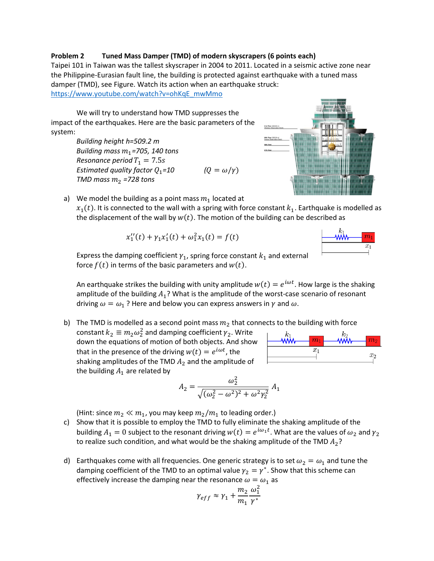## **Problem 2 Tuned Mass Damper (TMD) of modern skyscrapers (6 points each)**

Taipei 101 in Taiwan was the tallest skyscraper in 2004 to 2011. Located in a seismic active zone near the Philippine-Eurasian fault line, the building is protected against earthquake with a tuned mass damper (TMD), see Figure. Watch its action when an earthquake struck:

[https://www.youtube.com/watch?v=ohKqE\\_mwMmo](https://www.youtube.com/watch?v=ohKqE_mwMmo)

We will try to understand how TMD suppresses the impact of the earthquakes. Here are the basic parameters of the system:

> *Building height h=509.2 m Building mass*  $m_1$ *=705, 140 tons Resonance period*  $T_1 = 7.5s$ *Estimated quality factor*  $Q_1 = 10$  $(Q = \omega/\gamma)$ *TMD mass*  $m_2$  *=728 tons*

a) We model the building as a point mass  $m_1$  located at

 $x_1(t)$ . It is connected to the wall with a spring with force constant  $k_1$ . Earthquake is modelled as the displacement of the wall by  $w(t)$ . The motion of the building can be described as

$$
x_1''(t) + \gamma_1 x_1'(t) + \omega_1^2 x_1(t) = f(t)
$$

 $x_1$ 

Express the damping coefficient  $\gamma_1$ , spring force constant  $k_1$  and external force  $f(t)$  in terms of the basic parameters and  $w(t)$ .

An earthquake strikes the building with unity amplitude  $w(t) = e^{i\omega t}$ . How large is the shaking amplitude of the building  $A_1$ ? What is the amplitude of the worst-case scenario of resonant driving  $\omega = \omega_1$ ? Here and below you can express answers in  $\gamma$  and  $\omega$ .

b) The TMD is modelled as a second point mass  $m_2$  that connects to the building with force constant  $k_2 \equiv m_2 \omega_2^2$  and damping coefficient  $\gamma_2$ . Write  $\overline{m}$ down the equations of motion of both objects. And show  $\overline{x_1}$ that in the presence of the driving  $w(t) = e^{i\omega t}$ , the

$$
A_2 = \frac{\omega_2^2}{\sqrt{(\omega_2^2 - \omega^2)^2 + \omega^2 \gamma_2^2}} A_1
$$

(Hint: since  $m_2 \ll m_1$ , you may keep  $m_2/m_1$  to leading order.)

shaking amplitudes of the TMD  $A_2$  and the amplitude of

the building  $A_1$  are related by

- c) Show that it is possible to employ the TMD to fully eliminate the shaking amplitude of the building  $A_1 = 0$  subject to the resonant driving  $w(t) = e^{i\omega_1 t}$ . What are the values of  $\omega_2$  and  $\gamma_2$ to realize such condition, and what would be the shaking amplitude of the TMD  $A_2$ ?
- d) Earthquakes come with all frequencies. One generic strategy is to set  $\omega_2 = \omega_1$  and tune the damping coefficient of the TMD to an optimal value  $\gamma_2 = \gamma^*$ . Show that this scheme can effectively increase the damping near the resonance  $\omega = \omega_1$  as

$$
\gamma_{eff} \approx \gamma_1 + \frac{m_2}{m_1} \frac{\omega_1^2}{\gamma^*}
$$



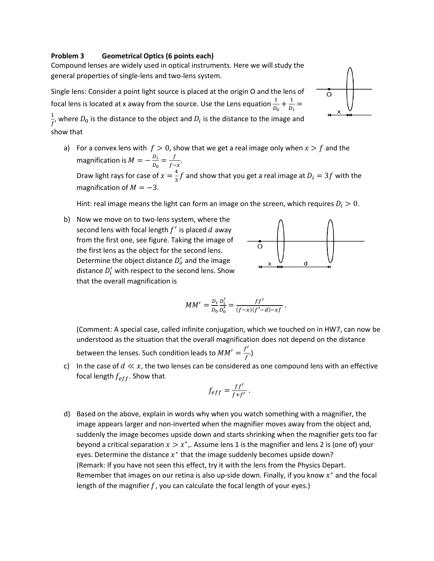## **Problem 3 Geometrical Optics (6 points each)**

Compound lenses are widely used in optical instruments. Here we will study the general properties of single-lens and two-lens system.

Single lens: Consider a point light source is placed at the origin O and the lens of focal lens is located at x away from the source. Use the Lens equation  $\frac{1}{D_0} + \frac{1}{D_i} =$ 

 $\frac{1}{f'}$ , where  $D_0$  is the distance to the object and  $D_i$  is the distance to the image and show that

a) For a convex lens with  $f > 0$ , show that we get a real image only when  $x > f$  and the magnification is  $M = -\frac{D_i}{D_0} = \frac{f}{f-x}$ . Draw light rays for case of  $x=\frac{4}{3}f$  and show that you get a real image at  $D_i=3f$  with the magnification of  $M = -3$ .

Hint: real image means the light can form an image on the screen, which requires  $D_i > 0$ .

b) Now we move on to two-lens system, where the second lens with focal length  $f'$  is placed  $d$  away from the first one, see figure. Taking the image of the first lens as the object for the second lens. Determine the object distance  $D'_o$  and the image distance  $D'_i$  with respect to the second lens. Show that the overall magnification is



$$
MM' = \frac{D_i}{D_0} \frac{D_i'}{D_0'} = \frac{ff'}{(f-x)(f'-d)-xf}.
$$

(Comment: A special case, called infinite conjugation, which we touched on in HW7, can now be understood as the situation that the overall magnification does not depend on the distance between the lenses. Such condition leads to  $MM' = \frac{f'}{f}$ .

c) In the case of  $d \ll x$ , the two lenses can be considered as one compound lens with an effective focal length  $f_{eff}$ . Show that

$$
f_{eff}=\frac{ff'}{f+f'}.
$$

d) Based on the above, explain in words why when you watch something with a magnifier, the image appears larger and non-inverted when the magnifier moves away from the object and, suddenly the image becomes upside down and starts shrinking when the magnifier gets too far beyond a critical separation  $x > x^*$ . Assume lens 1 is the magnifier and lens 2 is (one of) your eyes. Determine the distance  $x^*$  that the image suddenly becomes upside down? (Remark: If you have not seen this effect, try it with the lens from the Physics Depart. Remember that images on our retina is also up-side down. Finally, if you know  $x^*$  and the focal length of the magnifier  $f$ , you can calculate the focal length of your eyes.)